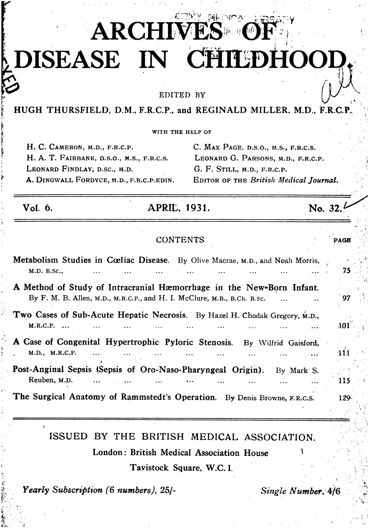# **ARCHIM** DISEASE IN CHILDHOO!

EDITED BY

### HUGH THURSFIELD, D.M., F.R.C.P., and REGINALD MILLER, M.D., F.R.C.P.

WITH THE HELP OF

H. C. CAMERON, M.D., F.R.C.P. H. A. T. FAIRBANK, D.S.O., M.S., F.R.C.S. LEONARD FINDLAY, D.SC., M.D. A. DINGWALL FORDYCE, M.D., F.R.C.P.EDIN. C. MAX PAGE. D.S.O., M.S., F.R.C.S. LEONARD G. PARSONS, M.D., F.R.C.P. G. F. STILL, M.D., F.R.C.P. EDITOR OF THE British Medical Journal.

No. 32.

PAGE

Vol. 6.

# **APRIL, 1931.**

#### **CONTENTS**

| Metabolism Studies in Cœliac Disease. By Olive Macrae, M.D., and Noah Morris,<br>M.D. B.Sc.,                                                    | -75        |
|-------------------------------------------------------------------------------------------------------------------------------------------------|------------|
| A Method of Study of Intracranial Hæmorrhage in the New-Born Infant.<br>By F. M. B. Allen, M.D., M.R.C.P., and H. I. McClure, M.B., B.Ch. B.sc. | 97         |
| Two Cases of Sub-Acute Hepatic Necrosis. By Hazel H. Chodak Gregory, M.D.,<br>M.R.C.P.                                                          | <b>A01</b> |
| A Case of Congenital Hypertrophic Pyloric Stenosis. By Wilfrid Gaisford,<br>M.D., M.R.C.P.<br>$\cdots$<br>$\sim 10^7$ and $\sim 10^6$           | <b>111</b> |
| Post-Anginal Sepsis (Sepsis of Oro-Naso-Pharyngeal Origin).<br>By Mark S.<br>Reuben, M.D.                                                       | 115        |
| The Surgical Anatomy of Rammstedt's Operation. By Denis Browne, F.R.C.S.                                                                        | $-129$     |

ISSUED BY THE BRITISH MEDICAL ASSOCIATION. London: British Medical Association House Tavistock Square, W.C. 1.

Yearly Subscription (6 numbers), 25/-

Single Number, 4/6